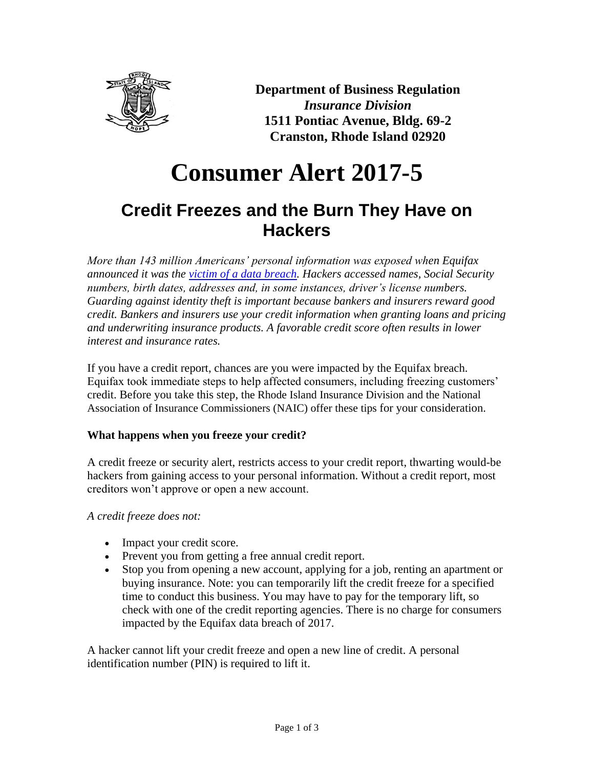

**Department of Business Regulation** *Insurance Division* **1511 Pontiac Avenue, Bldg. 69-2 Cranston, Rhode Island 02920**

# **Consumer Alert 2017-5**

# **Credit Freezes and the Burn They Have on Hackers**

*More than 143 million Americans' personal information was exposed when Equifax announced it was the [victim of a data breach.](https://www.equifaxsecurity2017.com/) Hackers accessed names, Social Security numbers, birth dates, addresses and, in some instances, driver's license numbers. Guarding against identity theft is important because bankers and insurers reward good credit. Bankers and insurers use your credit information when granting loans and pricing and underwriting insurance products. A favorable credit score often results in lower interest and insurance rates.*

If you have a credit report, chances are you were impacted by the Equifax breach. Equifax took immediate steps to help affected consumers, including freezing customers' credit. Before you take this step, the Rhode Island Insurance Division and the National Association of Insurance Commissioners (NAIC) offer these tips for your consideration.

## **What happens when you freeze your credit?**

A credit freeze or security alert, restricts access to your credit report, thwarting would-be hackers from gaining access to your personal information. Without a credit report, most creditors won't approve or open a new account.

*A credit freeze does not:*

- Impact your credit score.
- Prevent you from getting a free annual credit report.
- Stop you from opening a new account, applying for a job, renting an apartment or buying insurance. Note: you can temporarily lift the credit freeze for a specified time to conduct this business. You may have to pay for the temporary lift, so check with one of the credit reporting agencies. There is no charge for consumers impacted by the Equifax data breach of 2017.

A hacker cannot lift your credit freeze and open a new line of credit. A personal identification number (PIN) is required to lift it.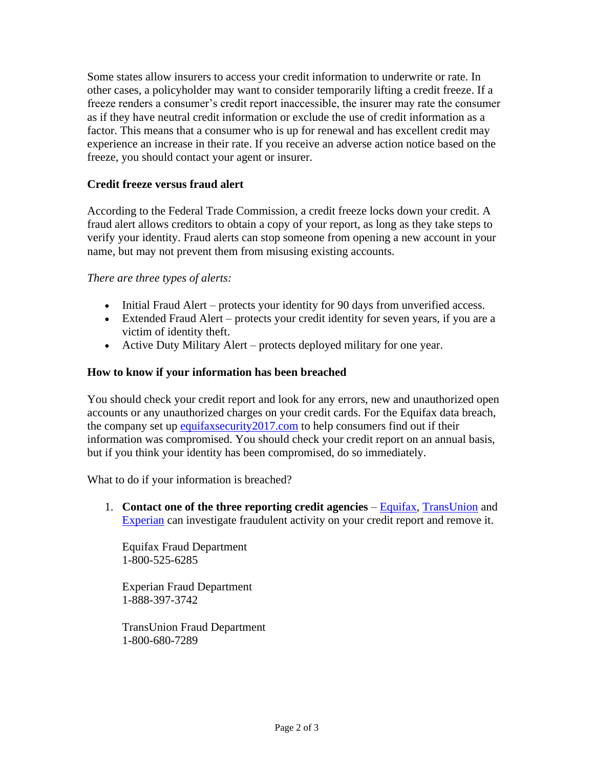Some states allow insurers to access your credit information to underwrite or rate. In other cases, a policyholder may want to consider temporarily lifting a credit freeze. If a freeze renders a consumer's credit report inaccessible, the insurer may rate the consumer as if they have neutral credit information or exclude the use of credit information as a factor. This means that a consumer who is up for renewal and has excellent credit may experience an increase in their rate. If you receive an adverse action notice based on the freeze, you should contact your agent or insurer.

#### **Credit freeze versus fraud alert**

According to the Federal Trade Commission, a credit freeze locks down your credit. A fraud alert allows creditors to obtain a copy of your report, as long as they take steps to verify your identity. Fraud alerts can stop someone from opening a new account in your name, but may not prevent them from misusing existing accounts.

#### *There are three types of alerts:*

- Initial Fraud Alert protects your identity for 90 days from unverified access.
- Extended Fraud Alert protects your credit identity for seven years, if you are a victim of identity theft.
- Active Duty Military Alert protects deployed military for one year.

#### **How to know if your information has been breached**

You should check your credit report and look for any errors, new and unauthorized open accounts or any unauthorized charges on your credit cards. For the Equifax data breach, the company set up equifaxsecurity 2017.com to help consumers find out if their information was compromised. You should check your credit report on an annual basis, but if you think your identity has been compromised, do so immediately.

What to do if your information is breached?

1. **Contact one of the three reporting credit agencies** – [Equifax,](https://www.equifax.com/) [TransUnion](https://www.transunion.com/) and [Experian](https://www.experian.com/) can investigate fraudulent activity on your credit report and remove it.

Equifax Fraud Department 1-800-525-6285

Experian Fraud Department 1-888-397-3742

TransUnion Fraud Department 1-800-680-7289